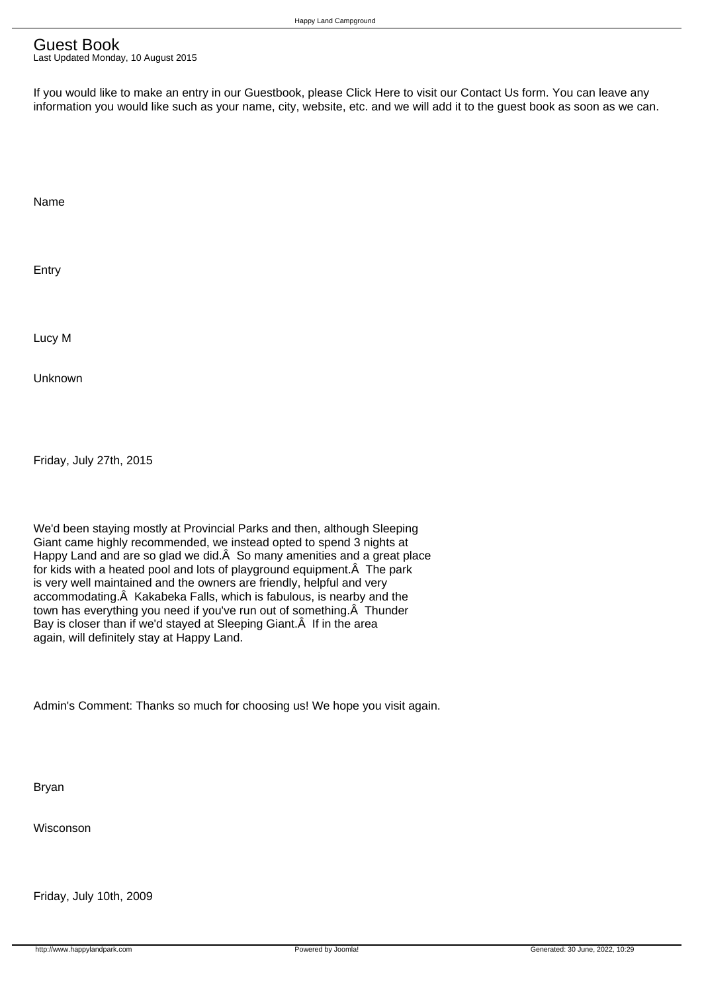## Guest Book

Last Updated Monday, 10 August 2015

If you would like to make an entry in our Guestbook, please Click Here to visit our Contact Us form. You can leave any information you would like such as your name, city, website, etc. and we will add it to the guest book as soon as we can.

 Name

 Entry

 Lucy M

 Unknown

 Friday, July 27th, 2015

 We'd been staying mostly at Provincial Parks and then, although Sleeping Giant came highly recommended, we instead opted to spend 3 nights at Happy Land and are so glad we did. A So many amenities and a great place for kids with a heated pool and lots of playground equipment. A The park is very well maintained and the owners are friendly, helpful and very accommodating. A Kakabeka Falls, which is fabulous, is nearby and the town has everything you need if you've run out of something. A Thunder Bay is closer than if we'd stayed at Sleeping Giant. A If in the area again, will definitely stay at Happy Land.

 Admin's Comment: Thanks so much for choosing us! We hope you visit again.

 Bryan

 Wisconson

 Friday, July 10th, 2009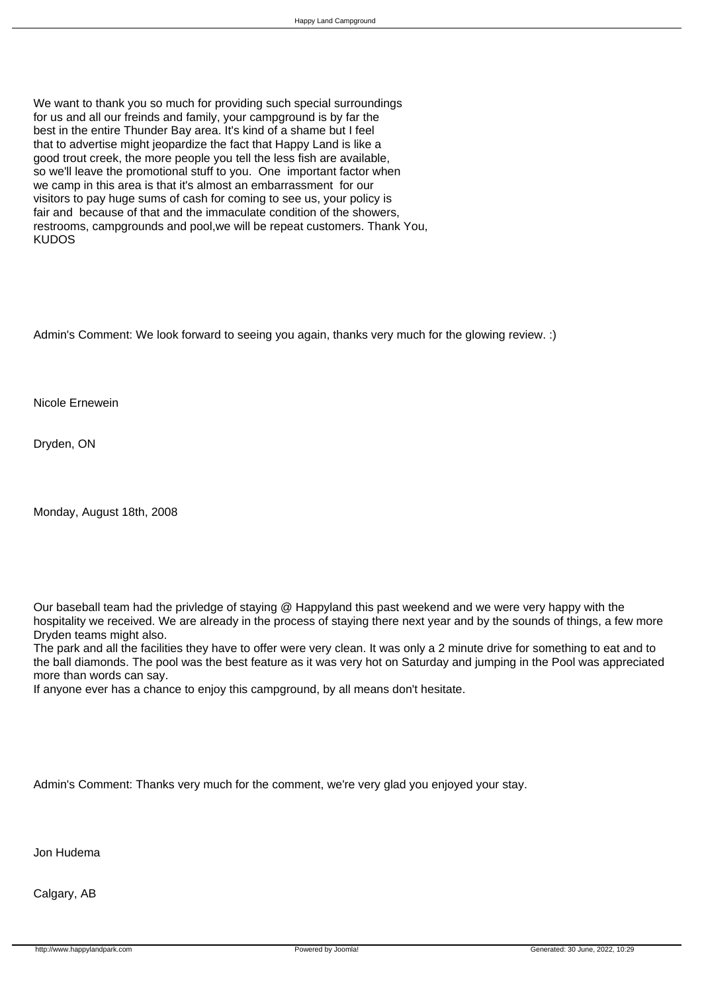We want to thank you so much for providing such special surroundings for us and all our freinds and family, your campground is by far the best in the entire Thunder Bay area. It's kind of a shame but I feel that to advertise might jeopardize the fact that Happy Land is like a good trout creek, the more people you tell the less fish are available, so we'll leave the promotional stuff to you. One important factor when we camp in this area is that it's almost an embarrassment for our visitors to pay huge sums of cash for coming to see us, your policy is fair and because of that and the immaculate condition of the showers, restrooms, campgrounds and pool,we will be repeat customers. Thank You, KUDOS

 Admin's Comment: We look forward to seeing you again, thanks very much for the glowing review. :)

 Nicole Ernewein

 Dryden, ON

 Monday, August 18th, 2008

 Our baseball team had the privledge of staying @ Happyland this past weekend and we were very happy with the hospitality we received. We are already in the process of staying there next year and by the sounds of things, a few more Dryden teams might also.

 The park and all the facilities they have to offer were very clean. It was only a 2 minute drive for something to eat and to the ball diamonds. The pool was the best feature as it was very hot on Saturday and jumping in the Pool was appreciated more than words can say.

 If anyone ever has a chance to enjoy this campground, by all means don't hesitate.

 Admin's Comment: Thanks very much for the comment, we're very glad you enjoyed your stay.

 Jon Hudema

 Calgary, AB